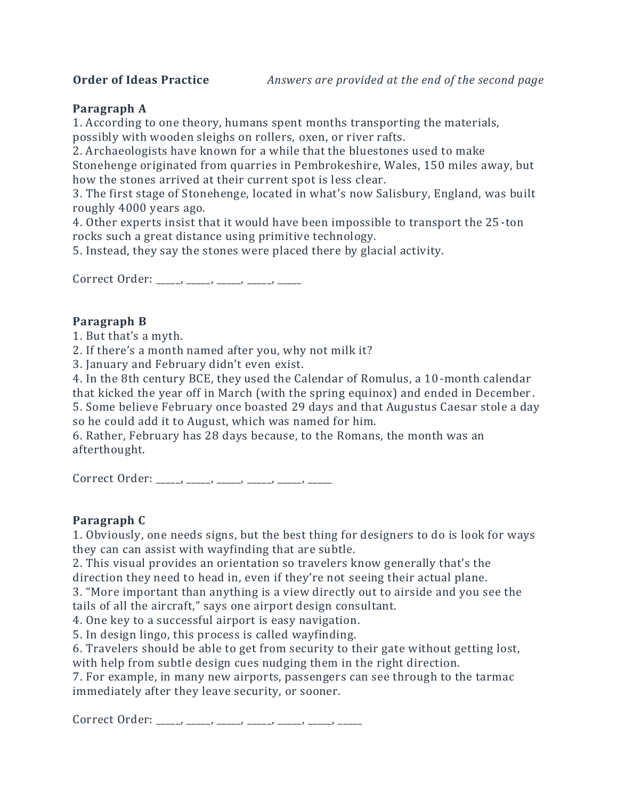# **Paragraph A**

1. According to one theory, humans spent [months](http://mentalfloss.com/article/91669/6-worlds-most-mysterious-standing-stones) transporting the materials, possibly with wooden sleighs on rollers, [oxen,](http://mentalfloss.com/article/68341/15-monumental-facts-about-stonehenge) or river rafts.

2. Archaeologists have known for a while that the bluestones used to make

Stonehenge originated from quarries in Pembrokeshire, Wales, 150 miles away, but how the stones arrived at their current spot is less clear.

3. The first stage of Stonehenge, located in what's now Salisbury, England, was built roughly 4000 years ago.

4. Other experts insist that it would have been impossible to transport the 25 -ton rocks such a great distance using primitive technology.

5. Instead, they say the stones were placed there by glacial activity.

Correct Order: \_\_\_\_\_, \_\_\_\_\_, \_\_\_\_\_, \_\_\_\_\_, \_\_\_\_\_,

# **Paragraph B**

1. But that's a myth.

2. If there's a month named after you, why not milk it?

3. January and February didn't even exist.

4. In the 8th century BCE, they used the Calendar of Romulus, a 10-month calendar that kicked the year off in March (with the spring equinox) and ended in December .

5. Some believe February once boasted 29 days and that Augustus Caesar stole a day so he could add it to August, which was named for him.

6. Rather, February has 28 days because, to the Romans, the month was an afterthought.

Correct Order: \_\_\_\_, \_\_\_\_, \_\_\_\_, \_\_\_\_, \_\_\_\_, \_\_\_\_,

### **Paragraph C**

1. Obviously, one needs signs, but the best thing for designers to do is look for ways they can can assist with wayfinding that are subtle.

2. This visual provides an orientation so travelers know generally that's the direction they need to head in, even if they're not seeing their actual plane.

3. "More important than anything is a view directly out to airside and you see the tails of all the aircraft," says one airport design consultant.

4. One key to a successful airport is easy navigation.

5. In design lingo, this process is called [wayfinding.](http://en.wikipedia.org/wiki/Wayfinding)

6. Travelers should be able to get from security to their gate without getting lost, with help from subtle design cues nudging them in the right direction.

7. For example, in many new airports, passengers can see through to the tarmac immediately after they leave security, or sooner.

Correct Order: \_\_\_\_\_, \_\_\_\_, \_\_\_\_, \_\_\_\_, \_\_\_\_, \_\_\_\_, \_\_\_\_, \_\_\_\_